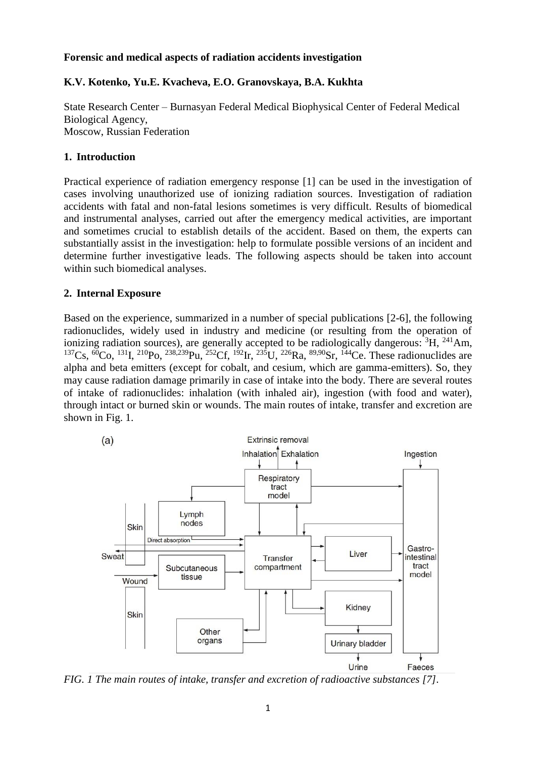#### **Forensic and medical aspects of radiation accidents investigation**

## **K.V. Kotenko, Yu.E. Kvacheva, E.O. Granovskaya, B.A. Kukhta**

State Research Center – Burnasyan Federal Medical Biophysical Center of Federal Medical Biological Agency, Moscow, Russian Federation

## **1. Introduction**

Practical experience of radiation emergency response [1] can be used in the investigation of cases involving unauthorized use of ionizing radiation sources. Investigation of radiation accidents with fatal and non-fatal lesions sometimes is very difficult. Results of biomedical and instrumental analyses, carried out after the emergency medical activities, are important and sometimes crucial to establish details of the accident. Based on them, the experts can substantially assist in the investigation: help to formulate possible versions of an incident and determine further investigative leads. The following aspects should be taken into account within such biomedical analyses.

#### **2. Internal Exposure**

Based on the experience, summarized in a number of special publications [2-6], the following radionuclides, widely used in industry and medicine (or resulting from the operation of ionizing radiation sources), are generally accepted to be radiologically dangerous:  ${}^{3}H$ ,  ${}^{241}Am$ ,  $^{137}$ Cs, <sup>60</sup>Co,  $^{131}$ I,  $^{210}$ Po,  $^{238,239}$ Pu,  $^{252}$ Cf,  $^{192}$ Ir,  $^{235}$ U,  $^{226}$ Ra,  $^{89,90}$ Sr,  $^{144}$ Ce. These radionuclides are alpha and beta emitters (except for cobalt, and cesium, which are gamma-emitters). So, they may cause radiation damage primarily in case of intake into the body. There are several routes of intake of radionuclides: inhalation (with inhaled air), ingestion (with food and water), through intact or burned skin or wounds. The main routes of intake, transfer and excretion are shown in Fig. 1.



*FIG. 1 The main routes of intake, transfer and excretion of radioactive substances [7].*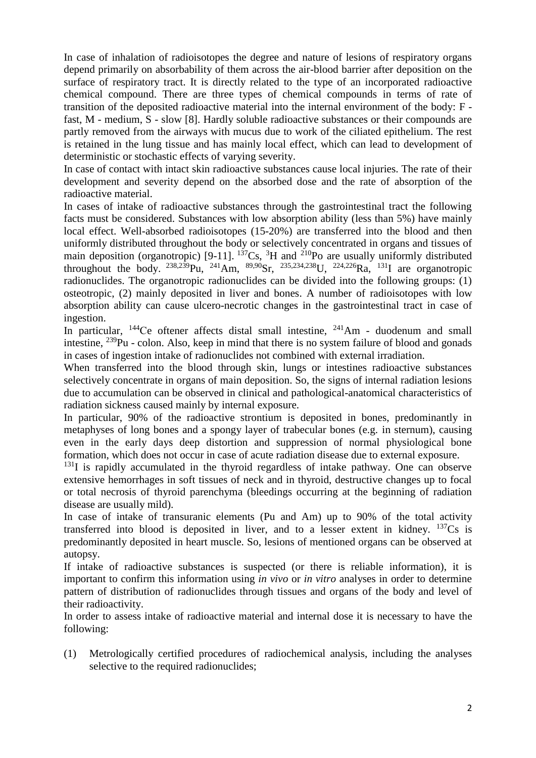In case of inhalation of radioisotopes the degree and nature of lesions of respiratory organs depend primarily on absorbability of them across the air-blood barrier after deposition on the surface of respiratory tract. It is directly related to the type of an incorporated radioactive chemical compound. There are three types of chemical compounds in terms of rate of transition of the deposited radioactive material into the internal environment of the body: F fast, M - medium, S - slow [8]. Hardly soluble radioactive substances or their compounds are partly removed from the airways with mucus due to work of the ciliated epithelium. The rest is retained in the lung tissue and has mainly local effect, which can lead to development of deterministic or stochastic effects of varying severity.

In case of contact with intact skin radioactive substances cause local injuries. The rate of their development and severity depend on the absorbed dose and the rate of absorption of the radioactive material.

In cases of intake of radioactive substances through the gastrointestinal tract the following facts must be considered. Substances with low absorption ability (less than 5%) have mainly local effect. Well-absorbed radioisotopes (15-20%) are transferred into the blood and then uniformly distributed throughout the body or selectively concentrated in organs and tissues of main deposition (organotropic) [9-11].  $^{137}Cs$ , <sup>3</sup>H and <sup>210</sup>Po are usually uniformly distributed throughout the body.  $^{238,239}$ Pu,  $^{241}$ Am,  $^{89,90}$ Sr,  $^{235,234,238}$ U,  $^{224,226}$ Ra,  $^{131}$ I are organotropic radionuclides. The organotropic radionuclides can be divided into the following groups: (1) osteotropic, (2) mainly deposited in liver and bones. A number of radioisotopes with low absorption ability can cause ulcero-necrotic changes in the gastrointestinal tract in case of ingestion.

In particular,  $^{144}$ Ce oftener affects distal small intestine,  $^{241}$ Am - duodenum and small intestine, <sup>239</sup>Pu - colon. Also, keep in mind that there is no system failure of blood and gonads in cases of ingestion intake of radionuclides not combined with external irradiation.

When transferred into the blood through skin, lungs or intestines radioactive substances selectively concentrate in organs of main deposition. So, the signs of internal radiation lesions due to accumulation can be observed in clinical and pathological-anatomical characteristics of radiation sickness caused mainly by internal exposure.

In particular, 90% of the radioactive strontium is deposited in bones, predominantly in metaphyses of long bones and a spongy layer of trabecular bones (e.g. in sternum), causing even in the early days deep distortion and suppression of normal physiological bone formation, which does not occur in case of acute radiation disease due to external exposure.

 $131$ I is rapidly accumulated in the thyroid regardless of intake pathway. One can observe extensive hemorrhages in soft tissues of neck and in thyroid, destructive changes up to focal or total necrosis of thyroid parenchyma (bleedings occurring at the beginning of radiation disease are usually mild).

In case of intake of transuranic elements (Pu and Am) up to 90% of the total activity transferred into blood is deposited in liver, and to a lesser extent in kidney.  $137Cs$  is predominantly deposited in heart muscle. So, lesions of mentioned organs can be observed at autopsy.

If intake of radioactive substances is suspected (or there is reliable information), it is important to confirm this information using *in vivo* or *in vitro* analyses in order to determine pattern of distribution of radionuclides through tissues and organs of the body and level of their radioactivity.

In order to assess intake of radioactive material and internal dose it is necessary to have the following:

(1) Metrologically certified procedures of radiochemical analysis, including the analyses selective to the required radionuclides;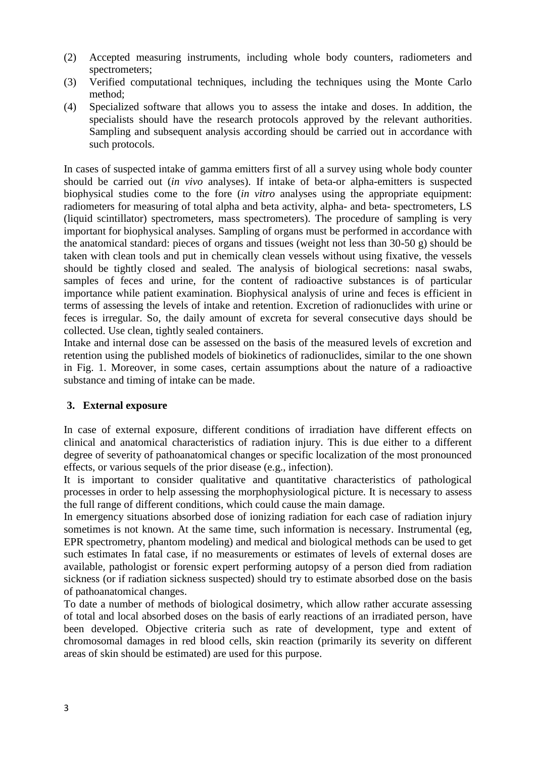- (2) Accepted measuring instruments, including whole body counters, radiometers and spectrometers;
- (3) Verified computational techniques, including the techniques using the Monte Carlo method;
- (4) Specialized software that allows you to assess the intake and doses. In addition, the specialists should have the research protocols approved by the relevant authorities. Sampling and subsequent analysis according should be carried out in accordance with such protocols.

In cases of suspected intake of gamma emitters first of all a survey using whole body counter should be carried out (*in vivo* analyses). If intake of beta-or alpha-emitters is suspected biophysical studies come to the fore (*in vitro* analyses using the appropriate equipment: radiometers for measuring of total alpha and beta activity, alpha- and beta- spectrometers, LS (liquid scintillator) spectrometers, mass spectrometers). The procedure of sampling is very important for biophysical analyses. Sampling of organs must be performed in accordance with the anatomical standard: pieces of organs and tissues (weight not less than 30-50 g) should be taken with clean tools and put in chemically clean vessels without using fixative, the vessels should be tightly closed and sealed. The analysis of biological secretions: nasal swabs, samples of feces and urine, for the content of radioactive substances is of particular importance while patient examination. Biophysical analysis of urine and feces is efficient in terms of assessing the levels of intake and retention. Excretion of radionuclides with urine or feces is irregular. So, the daily amount of excreta for several consecutive days should be collected. Use clean, tightly sealed containers.

Intake and internal dose can be assessed on the basis of the measured levels of excretion and retention using the published models of biokinetics of radionuclides, similar to the one shown in Fig. 1. Moreover, in some cases, certain assumptions about the nature of a radioactive substance and timing of intake can be made.

## **3. External exposure**

In case of external exposure, different conditions of irradiation have different effects on clinical and anatomical characteristics of radiation injury. This is due either to a different degree of severity of pathoanatomical changes or specific localization of the most pronounced effects, or various sequels of the prior disease (e.g., infection).

It is important to consider qualitative and quantitative characteristics of pathological processes in order to help assessing the morphophysiological picture. It is necessary to assess the full range of different conditions, which could cause the main damage.

In emergency situations absorbed dose of ionizing radiation for each case of radiation injury sometimes is not known. At the same time, such information is necessary. Instrumental (eg, EPR spectrometry, phantom modeling) and medical and biological methods can be used to get such estimates In fatal case, if no measurements or estimates of levels of external doses are available, pathologist or forensic expert performing autopsy of a person died from radiation sickness (or if radiation sickness suspected) should try to estimate absorbed dose on the basis of pathoanatomical changes.

To date a number of methods of biological dosimetry, which allow rather accurate assessing of total and local absorbed doses on the basis of early reactions of an irradiated person, have been developed. Objective criteria such as rate of development, type and extent of chromosomal damages in red blood cells, skin reaction (primarily its severity on different areas of skin should be estimated) are used for this purpose.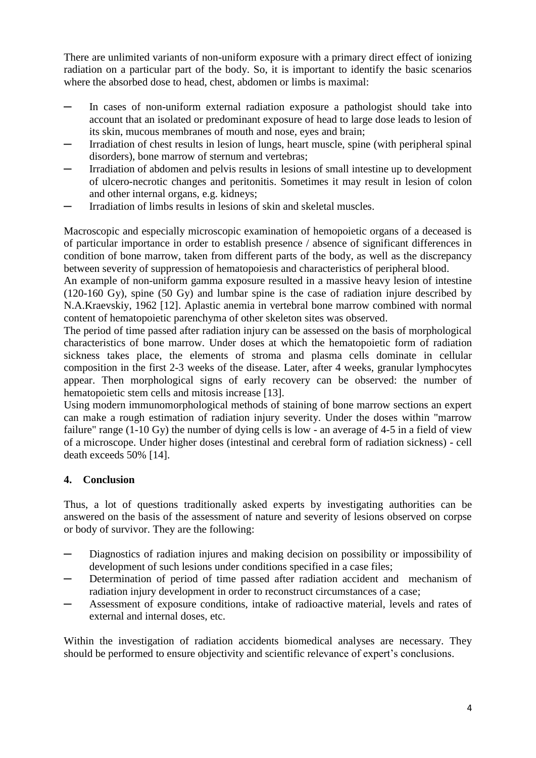There are unlimited variants of non-uniform exposure with a primary direct effect of ionizing radiation on a particular part of the body. So, it is important to identify the basic scenarios where the absorbed dose to head, chest, abdomen or limbs is maximal:

- ─ In cases of non-uniform external radiation exposure a pathologist should take into account that an isolated or predominant exposure of head to large dose leads to lesion of its skin, mucous membranes of mouth and nose, eyes and brain;
- ─ Irradiation of chest results in lesion of lungs, heart muscle, spine (with peripheral spinal disorders), bone marrow of sternum and vertebras;
- Irradiation of abdomen and pelvis results in lesions of small intestine up to development of ulcero-necrotic changes and peritonitis. Sometimes it may result in lesion of colon and other internal organs, e.g. kidneys;
- Irradiation of limbs results in lesions of skin and skeletal muscles.

Macroscopic and especially microscopic examination of hemopoietic organs of a deceased is of particular importance in order to establish presence / absence of significant differences in condition of bone marrow, taken from different parts of the body, as well as the discrepancy between severity of suppression of hematopoiesis and characteristics of peripheral blood.

An example of non-uniform gamma exposure resulted in a massive heavy lesion of intestine (120-160 Gy), spine (50 Gy) and lumbar spine is the case of radiation injure described by N.A.Kraevskiy, 1962 [12]. Aplastic anemia in vertebral bone marrow combined with normal content of hematopoietic parenchyma of other skeleton sites was observed.

The period of time passed after radiation injury can be assessed on the basis of morphological characteristics of bone marrow. Under doses at which the hematopoietic form of radiation sickness takes place, the elements of stroma and plasma cells dominate in cellular composition in the first 2-3 weeks of the disease. Later, after 4 weeks, granular lymphocytes appear. Then morphological signs of early recovery can be observed: the number of hematopoietic stem cells and mitosis increase [13].

Using modern immunomorphological methods of staining of bone marrow sections an expert can make a rough estimation of radiation injury severity. Under the doses within "marrow failure" range (1-10 Gy) the number of dying cells is low - an average of 4-5 in a field of view of a microscope. Under higher doses (intestinal and cerebral form of radiation sickness) - cell death exceeds 50% [14].

# **4. Conclusion**

Thus, a lot of questions traditionally asked experts by investigating authorities can be answered on the basis of the assessment of nature and severity of lesions observed on corpse or body of survivor. They are the following:

- Diagnostics of radiation injures and making decision on possibility or impossibility of development of such lesions under conditions specified in a case files;
- ─ Determination of period of time passed after radiation accident and mechanism of radiation injury development in order to reconstruct circumstances of a case;
- Assessment of exposure conditions, intake of radioactive material, levels and rates of external and internal doses, etc.

Within the investigation of radiation accidents biomedical analyses are necessary. They should be performed to ensure objectivity and scientific relevance of expert's conclusions.